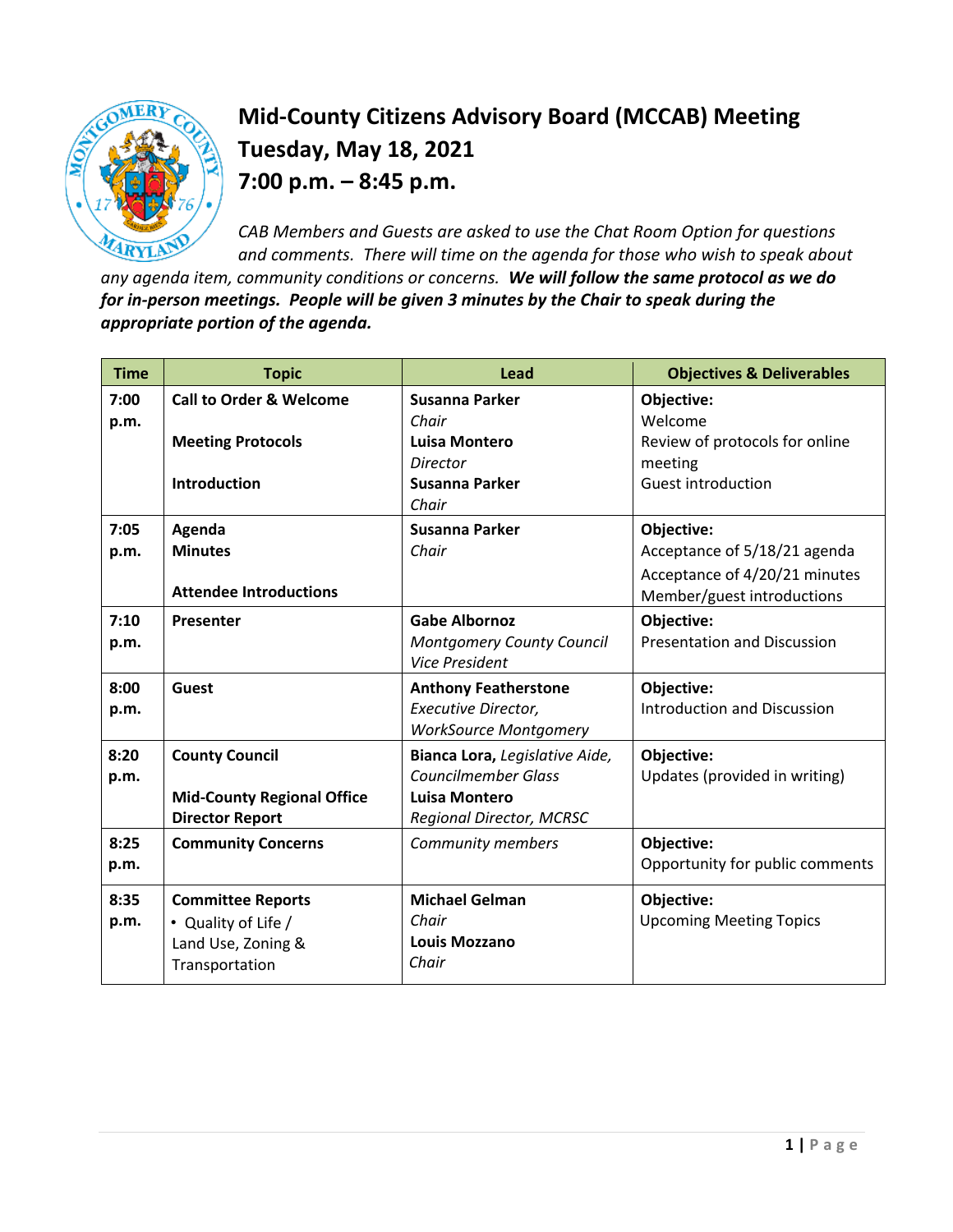

## **Mid-County Citizens Advisory Board (MCCAB) Meeting Tuesday, May 18, 2021 7:00 p.m. – 8:45 p.m.**

*CAB Members and Guests are asked to use the Chat Room Option for questions and comments. There will time on the agenda for those who wish to speak about* 

*any agenda item, community conditions or concerns. We will follow the same protocol as we do for in-person meetings. People will be given 3 minutes by the Chair to speak during the appropriate portion of the agenda.* 

| <b>Time</b>  | <b>Topic</b>                                                                            | Lead                                                                                                             | <b>Objectives &amp; Deliverables</b>                                                                      |
|--------------|-----------------------------------------------------------------------------------------|------------------------------------------------------------------------------------------------------------------|-----------------------------------------------------------------------------------------------------------|
| 7:00<br>p.m. | <b>Call to Order &amp; Welcome</b>                                                      | Susanna Parker<br>Chair                                                                                          | Objective:<br>Welcome                                                                                     |
|              | <b>Meeting Protocols</b>                                                                | Luisa Montero<br>Director                                                                                        | Review of protocols for online<br>meeting                                                                 |
|              | Introduction                                                                            | Susanna Parker<br>Chair                                                                                          | <b>Guest introduction</b>                                                                                 |
| 7:05<br>p.m. | Agenda<br><b>Minutes</b><br><b>Attendee Introductions</b>                               | Susanna Parker<br>Chair                                                                                          | Objective:<br>Acceptance of 5/18/21 agenda<br>Acceptance of 4/20/21 minutes<br>Member/guest introductions |
| 7:10<br>p.m. | Presenter                                                                               | <b>Gabe Albornoz</b><br><b>Montgomery County Council</b><br><b>Vice President</b>                                | Objective:<br><b>Presentation and Discussion</b>                                                          |
| 8:00<br>p.m. | <b>Guest</b>                                                                            | <b>Anthony Featherstone</b><br>Executive Director,<br><b>WorkSource Montgomery</b>                               | Objective:<br><b>Introduction and Discussion</b>                                                          |
| 8:20<br>p.m. | <b>County Council</b><br><b>Mid-County Regional Office</b><br><b>Director Report</b>    | Bianca Lora, Legislative Aide,<br><b>Councilmember Glass</b><br><b>Luisa Montero</b><br>Regional Director, MCRSC | Objective:<br>Updates (provided in writing)                                                               |
| 8:25<br>p.m. | <b>Community Concerns</b>                                                               | Community members                                                                                                | Objective:<br>Opportunity for public comments                                                             |
| 8:35<br>p.m. | <b>Committee Reports</b><br>• Quality of Life /<br>Land Use, Zoning &<br>Transportation | <b>Michael Gelman</b><br>Chair<br><b>Louis Mozzano</b><br>Chair                                                  | Objective:<br><b>Upcoming Meeting Topics</b>                                                              |